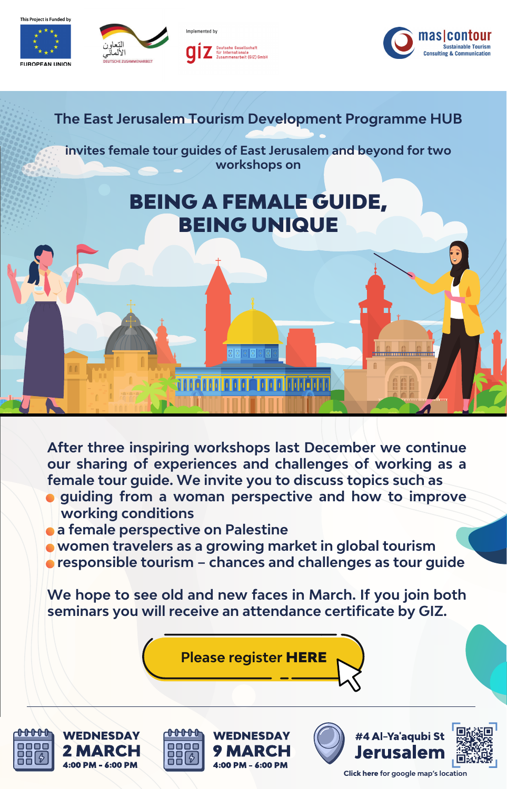**EUROPEAN UNION** 



Implemented by eutsche Gesellschaft -Internationale<br>:ammenarbeit (GIZ) GmbH



## **The East Jerusalem Tourism Development Programme HUB**

**invites female tour guides of East Jerusalem and beyond for two workshops on**

## BEING A FEMALE GUIDE, BEING UNIQUE

**After three inspiring workshops last December we continue our sharing of experiences and challenges of working as a female tour guide. We invite you to discuss topics such as**

ann ann an an

in an Ionada

- **guiding from a woman perspective and how to improve working conditions**
- **a female perspective on Palestine**

<del> 0000</del>

- **women travelers as a growing market in global tourism**
- *<b>• responsible tourism chances and challenges as tour guide*

**We hope to see old and new faces in March. If you join both seminars you will receive an attendance certificate by GIZ.**

**[Please register](https://ejtdp.info/event/being-a-female-tour-guide-march-5/)** HERE